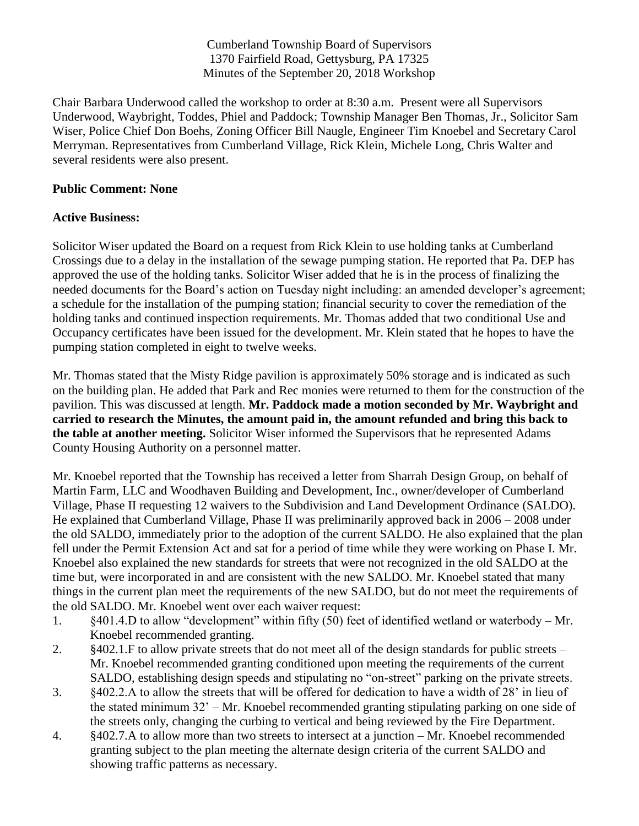Cumberland Township Board of Supervisors 1370 Fairfield Road, Gettysburg, PA 17325 Minutes of the September 20, 2018 Workshop

Chair Barbara Underwood called the workshop to order at 8:30 a.m. Present were all Supervisors Underwood, Waybright, Toddes, Phiel and Paddock; Township Manager Ben Thomas, Jr., Solicitor Sam Wiser, Police Chief Don Boehs, Zoning Officer Bill Naugle, Engineer Tim Knoebel and Secretary Carol Merryman. Representatives from Cumberland Village, Rick Klein, Michele Long, Chris Walter and several residents were also present.

## **Public Comment: None**

## **Active Business:**

Solicitor Wiser updated the Board on a request from Rick Klein to use holding tanks at Cumberland Crossings due to a delay in the installation of the sewage pumping station. He reported that Pa. DEP has approved the use of the holding tanks. Solicitor Wiser added that he is in the process of finalizing the needed documents for the Board's action on Tuesday night including: an amended developer's agreement; a schedule for the installation of the pumping station; financial security to cover the remediation of the holding tanks and continued inspection requirements. Mr. Thomas added that two conditional Use and Occupancy certificates have been issued for the development. Mr. Klein stated that he hopes to have the pumping station completed in eight to twelve weeks.

Mr. Thomas stated that the Misty Ridge pavilion is approximately 50% storage and is indicated as such on the building plan. He added that Park and Rec monies were returned to them for the construction of the pavilion. This was discussed at length. **Mr. Paddock made a motion seconded by Mr. Waybright and carried to research the Minutes, the amount paid in, the amount refunded and bring this back to the table at another meeting.** Solicitor Wiser informed the Supervisors that he represented Adams County Housing Authority on a personnel matter.

Mr. Knoebel reported that the Township has received a letter from Sharrah Design Group, on behalf of Martin Farm, LLC and Woodhaven Building and Development, Inc., owner/developer of Cumberland Village, Phase II requesting 12 waivers to the Subdivision and Land Development Ordinance (SALDO). He explained that Cumberland Village, Phase II was preliminarily approved back in 2006 – 2008 under the old SALDO, immediately prior to the adoption of the current SALDO. He also explained that the plan fell under the Permit Extension Act and sat for a period of time while they were working on Phase I. Mr. Knoebel also explained the new standards for streets that were not recognized in the old SALDO at the time but, were incorporated in and are consistent with the new SALDO. Mr. Knoebel stated that many things in the current plan meet the requirements of the new SALDO, but do not meet the requirements of the old SALDO. Mr. Knoebel went over each waiver request:

- 1. §401.4.D to allow "development" within fifty (50) feet of identified wetland or waterbody Mr. Knoebel recommended granting.
- 2. §402.1.F to allow private streets that do not meet all of the design standards for public streets Mr. Knoebel recommended granting conditioned upon meeting the requirements of the current SALDO, establishing design speeds and stipulating no "on-street" parking on the private streets.
- 3. §402.2.A to allow the streets that will be offered for dedication to have a width of 28' in lieu of the stated minimum 32' – Mr. Knoebel recommended granting stipulating parking on one side of the streets only, changing the curbing to vertical and being reviewed by the Fire Department.
- 4. §402.7.A to allow more than two streets to intersect at a junction Mr. Knoebel recommended granting subject to the plan meeting the alternate design criteria of the current SALDO and showing traffic patterns as necessary.